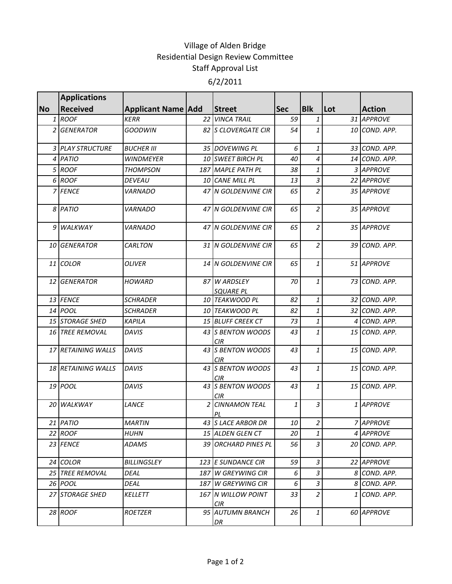## Village of Alden Bridge Residential Design Review Committee Staff Approval List 6/2/2011

|                | <b>Applications</b>       |                           |   |                                  |            |                |     |               |
|----------------|---------------------------|---------------------------|---|----------------------------------|------------|----------------|-----|---------------|
| <b>No</b>      | <b>Received</b>           | <b>Applicant Name Add</b> |   | <b>Street</b>                    | <b>Sec</b> | <b>Blk</b>     | Lot | <b>Action</b> |
| 1              | <b>ROOF</b>               | <b>KERR</b>               |   | 22 VINCA TRAIL                   | 59         | $\mathbf{1}$   |     | 31 APPROVE    |
| 2              | <b>GENERATOR</b>          | <b>GOODWIN</b>            |   | 82 S CLOVERGATE CIR              | 54         | $\mathbf{1}$   |     | 10 COND. APP. |
|                | <b>3 PLAY STRUCTURE</b>   | <b>BUCHER III</b>         |   | 35 DOVEWING PL                   | 6          | $\mathbf{1}$   |     | 33 COND. APP. |
| $\overline{a}$ | PATIO                     | <b>WINDMEYER</b>          |   | 10 SWEET BIRCH PL                | 40         | 4              |     | 14 COND. APP. |
| 5              | <b>ROOF</b>               | <b>THOMPSON</b>           |   | 187 MAPLE PATH PL                | 38         | 1              |     | 3 APPROVE     |
|                | 6 ROOF                    | <b>DEVEAU</b>             |   | 10 CANE MILL PL                  | 13         | $\mathfrak{Z}$ |     | 22 APPROVE    |
|                | 7 FENCE                   | <b>VARNADO</b>            |   | 47 N GOLDENVINE CIR              | 65         | $\overline{c}$ |     | 35 APPROVE    |
| 8              | <b>PATIO</b>              | <b>VARNADO</b>            |   | 47 N GOLDENVINE CIR              | 65         | $\overline{c}$ |     | 35 APPROVE    |
| 9              | <b>WALKWAY</b>            | <i><b>VARNADO</b></i>     |   | 47 N GOLDENVINE CIR              | 65         | $\overline{c}$ |     | 35 APPROVE    |
| 10             | <b>GENERATOR</b>          | <b>CARLTON</b>            |   | 31 N GOLDENVINE CIR              | 65         | $\overline{a}$ |     | 39 COND. APP. |
| 11             | <b>COLOR</b>              | <b>OLIVER</b>             |   | 14 N GOLDENVINE CIR              | 65         | $\mathbf{1}$   |     | 51 APPROVE    |
| 12             | <b>GENERATOR</b>          | <b>HOWARD</b>             |   | 87 W ARDSLEY<br><b>SQUARE PL</b> | 70         | $\mathbf{1}$   |     | 73 COND. APP. |
|                | 13 FENCE                  | <b>SCHRADER</b>           |   | 10 TEAKWOOD PL                   | 82         | $\mathbf{1}$   |     | 32 COND. APP. |
|                | 14 <i>POOL</i>            | <b>SCHRADER</b>           |   | 10 TEAKWOOD PL                   | 82         | 1              |     | 32 COND. APP. |
|                | 15 STORAGE SHED           | <b>KAPILA</b>             |   | 15 BLUFF CREEK CT                | 73         | $\mathbf{1}$   |     | 4 COND. APP.  |
|                | 16 TREE REMOVAL           | <b>DAVIS</b>              |   | 43 S BENTON WOODS<br><b>CIR</b>  | 43         | $\mathbf{1}$   |     | 15 COND. APP. |
|                | 17 RETAINING WALLS        | <b>DAVIS</b>              |   | 43 S BENTON WOODS<br><b>CIR</b>  | 43         | $\mathbf{1}$   |     | 15 COND. APP. |
|                | <b>18 RETAINING WALLS</b> | <b>DAVIS</b>              |   | 43 S BENTON WOODS<br><b>CIR</b>  | 43         | 1              |     | 15 COND. APP. |
|                | 19 POOL                   | <b>DAVIS</b>              |   | 43 S BENTON WOODS<br><b>CIR</b>  | 43         | 1              |     | 15 COND. APP. |
|                | 20 WALKWAY                | LANCE                     | 2 | <b>CINNAMON TEAL</b><br>PL       | 1          | 3              |     | 1 APPROVE     |
|                | 21 PATIO                  | <b>MARTIN</b>             |   | 43 S LACE ARBOR DR               | 10 l       | $\overline{2}$ |     | 7 APPROVE     |
|                | 22 ROOF                   | HUHN                      |   | 15 ALDEN GLEN CT                 | 20         | $\mathbf{1}$   |     | 4 APPROVE     |
|                | 23 FENCE                  | <b>ADAMS</b>              |   | 39 ORCHARD PINES PL              | 56         | 3              |     | 20 COND. APP. |
|                | 24 COLOR                  | BILLINGSLEY               |   | 123 E SUNDANCE CIR               | 59         | $\mathfrak{Z}$ |     | 22 APPROVE    |
|                | 25 TREE REMOVAL           | DEAL                      |   | 187 W GREYWING CIR               | 6          | 3              |     | 8 COND. APP.  |
|                | 26 POOL                   | DEAL                      |   | 187 W GREYWING CIR               | 6          | $\mathfrak{Z}$ |     | 8 COND. APP.  |
|                | 27 STORAGE SHED           | <b>KELLETT</b>            |   | 167 N WILLOW POINT<br>CIR.       | 33         | $\overline{a}$ |     | 1 COND. APP.  |
|                | 28 ROOF                   | <b>ROETZER</b>            |   | 95 AUTUMN BRANCH<br>DR           | 26         | $\mathbf{1}$   |     | 60 APPROVE    |